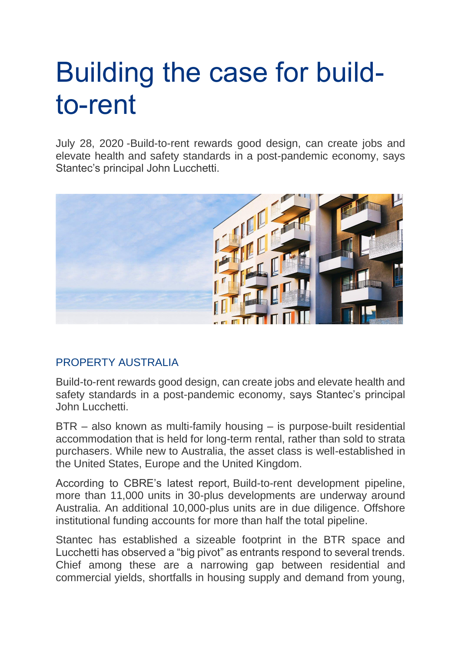## Building the case for buildto-rent

July 28, 2020 -Build-to-rent rewards good design, can create jobs and elevate health and safety standards in a post-pandemic economy, says Stantec's principal John Lucchetti.



## [PROPERTY AUSTRALIA](https://info.propertycouncil.com.au/property-australia-blog/author/property-australia)

Build-to-rent rewards good design, can create jobs and elevate health and safety standards in a post-pandemic economy, says Stantec's principal John Lucchetti.

BTR – also known as multi-family housing – is purpose-built residential accommodation that is held for long-term rental, rather than sold to strata purchasers. While new to Australia, the asset class is well-established in the United States, Europe and the United Kingdom.

According to CBRE's latest report, Build-to-rent development pipeline, more than 11,000 units in 30-plus developments are underway around Australia. An additional 10,000-plus units are in due diligence. Offshore institutional funding accounts for more than half the total pipeline.

Stantec has established a sizeable footprint in the BTR space and Lucchetti has observed a "big pivot" as entrants respond to several trends. Chief among these are a narrowing gap between residential and commercial yields, shortfalls in housing supply and demand from young,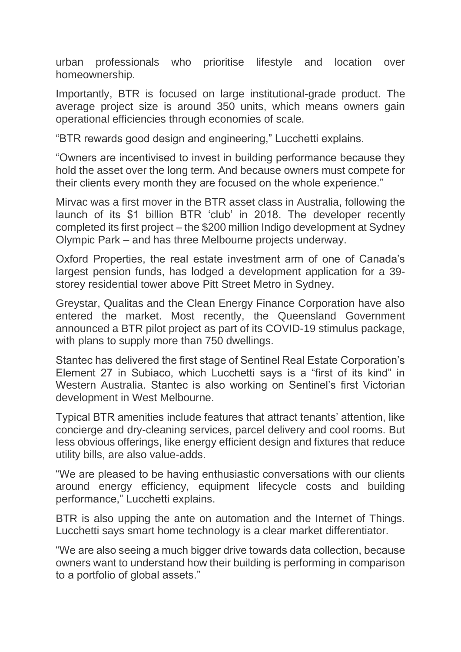urban professionals who prioritise lifestyle and location over homeownership.

Importantly, BTR is focused on large institutional-grade product. The average project size is around 350 units, which means owners gain operational efficiencies through economies of scale.

"BTR rewards good design and engineering," Lucchetti explains.

"Owners are incentivised to invest in building performance because they hold the asset over the long term. And because owners must compete for their clients every month they are focused on the whole experience."

Mirvac was a first mover in the BTR asset class in Australia, following the launch of its \$1 billion BTR 'club' in 2018. The developer recently completed its first project – the \$200 million Indigo development at Sydney Olympic Park – and has three Melbourne projects underway.

Oxford Properties, the real estate investment arm of one of Canada's largest pension funds, has lodged a development application for a 39 storey residential tower above Pitt Street Metro in Sydney.

Greystar, Qualitas and the Clean Energy Finance Corporation have also entered the market. Most recently, the Queensland Government announced a BTR pilot project as part of its COVID-19 stimulus package, with plans to supply more than 750 dwellings.

Stantec has delivered the first stage of Sentinel Real Estate Corporation's Element 27 in Subiaco, which Lucchetti says is a "first of its kind" in Western Australia. Stantec is also working on Sentinel's first Victorian development in West Melbourne.

Typical BTR amenities include features that attract tenants' attention, like concierge and dry-cleaning services, parcel delivery and cool rooms. But less obvious offerings, like energy efficient design and fixtures that reduce utility bills, are also value-adds.

"We are pleased to be having enthusiastic conversations with our clients around energy efficiency, equipment lifecycle costs and building performance," Lucchetti explains.

BTR is also upping the ante on automation and the Internet of Things. Lucchetti says smart home technology is a clear market differentiator.

"We are also seeing a much bigger drive towards data collection, because owners want to understand how their building is performing in comparison to a portfolio of global assets."